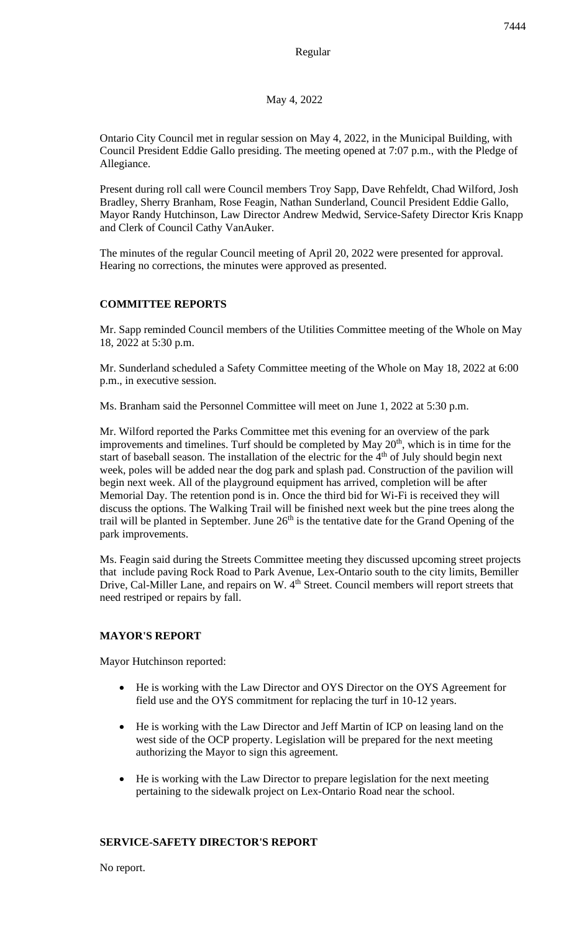May 4, 2022

Ontario City Council met in regular session on May 4, 2022, in the Municipal Building, with Council President Eddie Gallo presiding. The meeting opened at 7:07 p.m., with the Pledge of Allegiance.

Present during roll call were Council members Troy Sapp, Dave Rehfeldt, Chad Wilford, Josh Bradley, Sherry Branham, Rose Feagin, Nathan Sunderland, Council President Eddie Gallo, Mayor Randy Hutchinson, Law Director Andrew Medwid, Service-Safety Director Kris Knapp and Clerk of Council Cathy VanAuker.

The minutes of the regular Council meeting of April 20, 2022 were presented for approval. Hearing no corrections, the minutes were approved as presented.

# **COMMITTEE REPORTS**

Mr. Sapp reminded Council members of the Utilities Committee meeting of the Whole on May 18, 2022 at 5:30 p.m.

Mr. Sunderland scheduled a Safety Committee meeting of the Whole on May 18, 2022 at 6:00 p.m., in executive session.

Ms. Branham said the Personnel Committee will meet on June 1, 2022 at 5:30 p.m.

Mr. Wilford reported the Parks Committee met this evening for an overview of the park improvements and timelines. Turf should be completed by May  $20<sup>th</sup>$ , which is in time for the start of baseball season. The installation of the electric for the  $4<sup>th</sup>$  of July should begin next week, poles will be added near the dog park and splash pad. Construction of the pavilion will begin next week. All of the playground equipment has arrived, completion will be after Memorial Day. The retention pond is in. Once the third bid for Wi-Fi is received they will discuss the options. The Walking Trail will be finished next week but the pine trees along the trail will be planted in September. June 26<sup>th</sup> is the tentative date for the Grand Opening of the park improvements.

Ms. Feagin said during the Streets Committee meeting they discussed upcoming street projects that include paving Rock Road to Park Avenue, Lex-Ontario south to the city limits, Bemiller Drive, Cal-Miller Lane, and repairs on W. 4<sup>th</sup> Street. Council members will report streets that need restriped or repairs by fall.

## **MAYOR'S REPORT**

Mayor Hutchinson reported:

- He is working with the Law Director and OYS Director on the OYS Agreement for field use and the OYS commitment for replacing the turf in 10-12 years.
- He is working with the Law Director and Jeff Martin of ICP on leasing land on the west side of the OCP property. Legislation will be prepared for the next meeting authorizing the Mayor to sign this agreement.
- He is working with the Law Director to prepare legislation for the next meeting pertaining to the sidewalk project on Lex-Ontario Road near the school.

## **SERVICE-SAFETY DIRECTOR'S REPORT**

No report.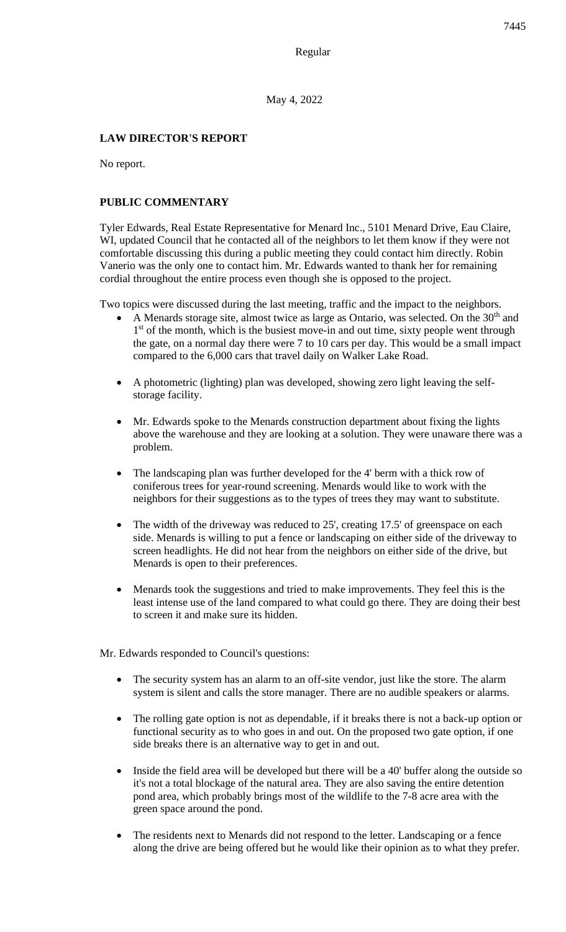May 4, 2022

## **LAW DIRECTOR'S REPORT**

No report.

## **PUBLIC COMMENTARY**

Tyler Edwards, Real Estate Representative for Menard Inc., 5101 Menard Drive, Eau Claire, WI, updated Council that he contacted all of the neighbors to let them know if they were not comfortable discussing this during a public meeting they could contact him directly. Robin Vanerio was the only one to contact him. Mr. Edwards wanted to thank her for remaining cordial throughout the entire process even though she is opposed to the project.

Two topics were discussed during the last meeting, traffic and the impact to the neighbors.

- A Menards storage site, almost twice as large as Ontario, was selected. On the  $30<sup>th</sup>$  and 1<sup>st</sup> of the month, which is the busiest move-in and out time, sixty people went through the gate, on a normal day there were 7 to 10 cars per day. This would be a small impact compared to the 6,000 cars that travel daily on Walker Lake Road.
- A photometric (lighting) plan was developed, showing zero light leaving the selfstorage facility.
- Mr. Edwards spoke to the Menards construction department about fixing the lights above the warehouse and they are looking at a solution. They were unaware there was a problem.
- The landscaping plan was further developed for the 4' berm with a thick row of coniferous trees for year-round screening. Menards would like to work with the neighbors for their suggestions as to the types of trees they may want to substitute.
- The width of the driveway was reduced to 25', creating 17.5' of greenspace on each side. Menards is willing to put a fence or landscaping on either side of the driveway to screen headlights. He did not hear from the neighbors on either side of the drive, but Menards is open to their preferences.
- Menards took the suggestions and tried to make improvements. They feel this is the least intense use of the land compared to what could go there. They are doing their best to screen it and make sure its hidden.

Mr. Edwards responded to Council's questions:

- The security system has an alarm to an off-site vendor, just like the store. The alarm system is silent and calls the store manager. There are no audible speakers or alarms.
- The rolling gate option is not as dependable, if it breaks there is not a back-up option or functional security as to who goes in and out. On the proposed two gate option, if one side breaks there is an alternative way to get in and out.
- Inside the field area will be developed but there will be a 40' buffer along the outside so it's not a total blockage of the natural area. They are also saving the entire detention pond area, which probably brings most of the wildlife to the 7-8 acre area with the green space around the pond.
- The residents next to Menards did not respond to the letter. Landscaping or a fence along the drive are being offered but he would like their opinion as to what they prefer.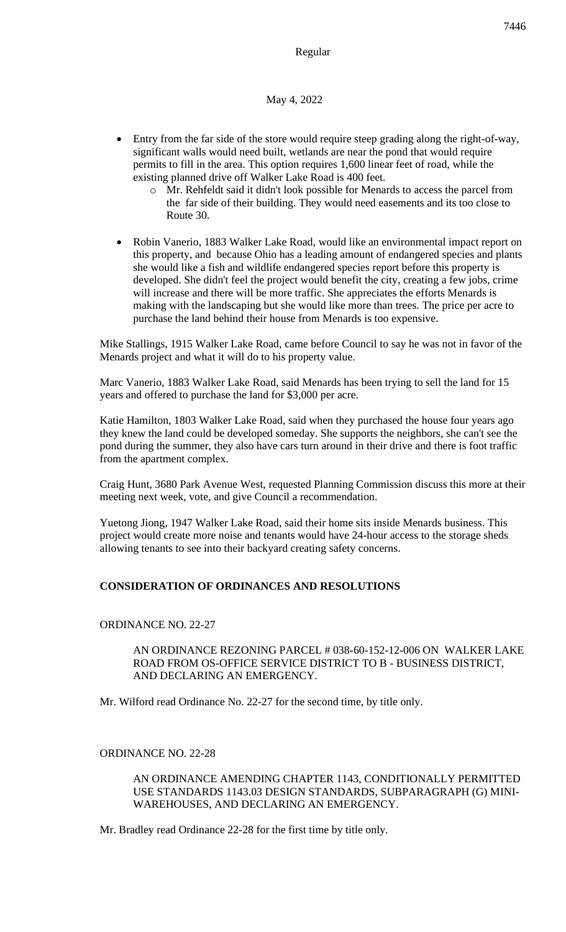Regular

#### May 4, 2022

- Entry from the far side of the store would require steep grading along the right-of-way, significant walls would need built, wetlands are near the pond that would require permits to fill in the area. This option requires 1,600 linear feet of road, while the existing planned drive off Walker Lake Road is 400 feet.
	- o Mr. Rehfeldt said it didn't look possible for Menards to access the parcel from the far side of their building. They would need easements and its too close to Route 30.
- Robin Vanerio, 1883 Walker Lake Road, would like an environmental impact report on this property, and because Ohio has a leading amount of endangered species and plants she would like a fish and wildlife endangered species report before this property is developed. She didn't feel the project would benefit the city, creating a few jobs, crime will increase and there will be more traffic. She appreciates the efforts Menards is making with the landscaping but she would like more than trees. The price per acre to purchase the land behind their house from Menards is too expensive.

Mike Stallings, 1915 Walker Lake Road, came before Council to say he was not in favor of the Menards project and what it will do to his property value.

Marc Vanerio, 1883 Walker Lake Road, said Menards has been trying to sell the land for 15 years and offered to purchase the land for \$3,000 per acre.

Katie Hamilton, 1803 Walker Lake Road, said when they purchased the house four years ago they knew the land could be developed someday. She supports the neighbors, she can't see the pond during the summer, they also have cars turn around in their drive and there is foot traffic from the apartment complex.

Craig Hunt, 3680 Park Avenue West, requested Planning Commission discuss this more at their meeting next week, vote, and give Council a recommendation.

Yuetong Jiong, 1947 Walker Lake Road, said their home sits inside Menards business. This project would create more noise and tenants would have 24-hour access to the storage sheds allowing tenants to see into their backyard creating safety concerns.

### **CONSIDERATION OF ORDINANCES AND RESOLUTIONS**

#### ORDINANCE NO. 22-27

#### AN ORDINANCE REZONING PARCEL # 038-60-152-12-006 ON WALKER LAKE ROAD FROM OS-OFFICE SERVICE DISTRICT TO B - BUSINESS DISTRICT, AND DECLARING AN EMERGENCY.

Mr. Wilford read Ordinance No. 22-27 for the second time, by title only.

### ORDINANCE NO. 22-28

AN ORDINANCE AMENDING CHAPTER 1143, CONDITIONALLY PERMITTED USE STANDARDS 1143.03 DESIGN STANDARDS, SUBPARAGRAPH (G) MINI-WAREHOUSES, AND DECLARING AN EMERGENCY.

Mr. Bradley read Ordinance 22-28 for the first time by title only.